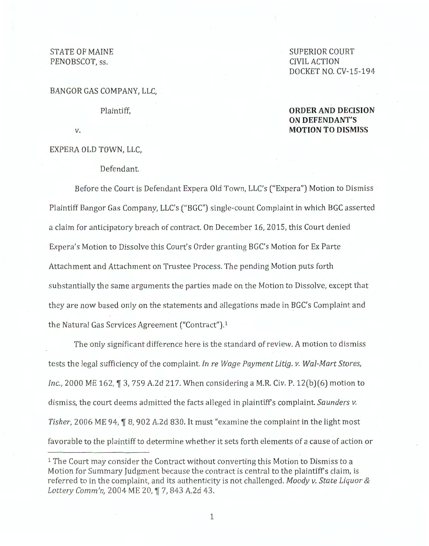## STATE OF MAINE PENOBSCOT, ss.

BANGOR GAS COMPANY, LLC,

Plaintiff,

## SUPERIOR COURT CIVIL ACTION DOCKET NO. CV-15-194

## **ORDER AND DECISION ON DEFENDANT'S MOTION TO DISMISS**

v.

EXPERA OLD TOWN, LLC,

Defendant.

Before the Court is Defendant Expera Old Town, LLC's ("Expera") Motion to Dismiss Plaintiff Bangor Gas Company, LLC's (''BGC") single-count Complaint in which BGC asserted a claim for anticipatory breach of contract. On December 16, 2015, this Court denied Expera's Motion to Dissolve this Court's Order granting BGC's Motion for Ex Parte Attachment and Attachment on Trustee Process. The pending Motion puts forth substantially the same arguments the parties made on the Motion to Dissolve, except that they are now based only on the statements and allegations made in BGC's Complaint and the Natural Gas Services Agreement ("Contract").<sup>1</sup>

The only significant difference here is the standard of review. A motion to dismiss tests the legal sufficiency of the complaint. *In re Wage Payment Litig. v. Wal-Mart Stores, Inc.,* 2000 ME 162, 1 3, 759 A.2d 217. When considering a M.R. Civ. P. 12(b)(6) motion to dismiss, the court deems admitted the facts alleged in plaintiffs complaint. *Saunders v. Tisher,* 2006 ME 94, **T** 8, 902 A.2d 830. It must "examine the complaint in the light most favorable to the plaintiff to determine whether it sets forth elements of a cause of action or

<sup>1</sup> The Court may consider the Contract without converting this Motion to Dismiss to a Motion for Summary Judgment because the contract is central to the plaintiffs claim, is referred to in the complaint, and its authenticity is not challenged. *Moody v. State Liquor* & Lottery Comm'n, 2004 ME 20, ¶ 7, 843 A.2d 43.